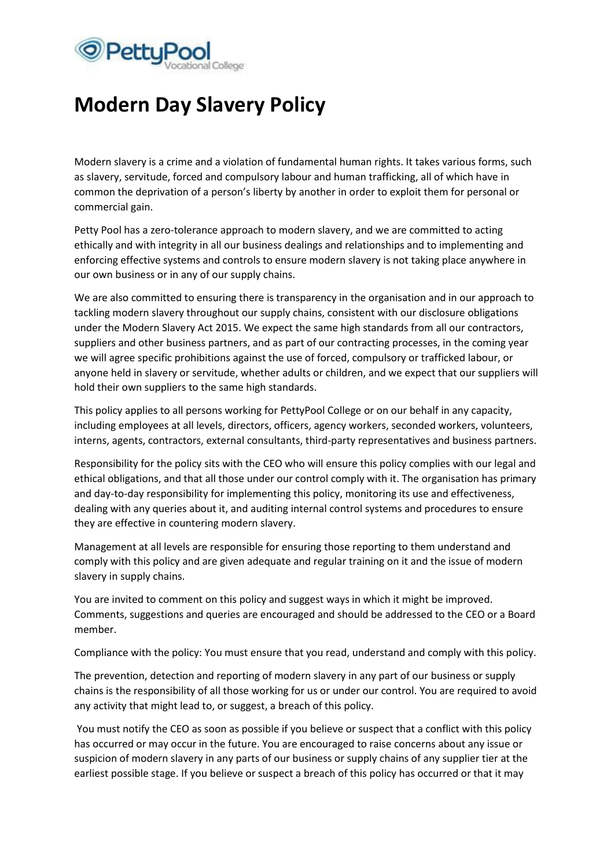

## **Modern Day Slavery Policy**

Modern slavery is a crime and a violation of fundamental human rights. It takes various forms, such as slavery, servitude, forced and compulsory labour and human trafficking, all of which have in common the deprivation of a person's liberty by another in order to exploit them for personal or commercial gain.

Petty Pool has a zero-tolerance approach to modern slavery, and we are committed to acting ethically and with integrity in all our business dealings and relationships and to implementing and enforcing effective systems and controls to ensure modern slavery is not taking place anywhere in our own business or in any of our supply chains.

We are also committed to ensuring there is transparency in the organisation and in our approach to tackling modern slavery throughout our supply chains, consistent with our disclosure obligations under the Modern Slavery Act 2015. We expect the same high standards from all our contractors, suppliers and other business partners, and as part of our contracting processes, in the coming year we will agree specific prohibitions against the use of forced, compulsory or trafficked labour, or anyone held in slavery or servitude, whether adults or children, and we expect that our suppliers will hold their own suppliers to the same high standards.

This policy applies to all persons working for PettyPool College or on our behalf in any capacity, including employees at all levels, directors, officers, agency workers, seconded workers, volunteers, interns, agents, contractors, external consultants, third-party representatives and business partners.

Responsibility for the policy sits with the CEO who will ensure this policy complies with our legal and ethical obligations, and that all those under our control comply with it. The organisation has primary and day-to-day responsibility for implementing this policy, monitoring its use and effectiveness, dealing with any queries about it, and auditing internal control systems and procedures to ensure they are effective in countering modern slavery.

Management at all levels are responsible for ensuring those reporting to them understand and comply with this policy and are given adequate and regular training on it and the issue of modern slavery in supply chains.

You are invited to comment on this policy and suggest ways in which it might be improved. Comments, suggestions and queries are encouraged and should be addressed to the CEO or a Board member.

Compliance with the policy: You must ensure that you read, understand and comply with this policy.

The prevention, detection and reporting of modern slavery in any part of our business or supply chains is the responsibility of all those working for us or under our control. You are required to avoid any activity that might lead to, or suggest, a breach of this policy.

You must notify the CEO as soon as possible if you believe or suspect that a conflict with this policy has occurred or may occur in the future. You are encouraged to raise concerns about any issue or suspicion of modern slavery in any parts of our business or supply chains of any supplier tier at the earliest possible stage. If you believe or suspect a breach of this policy has occurred or that it may